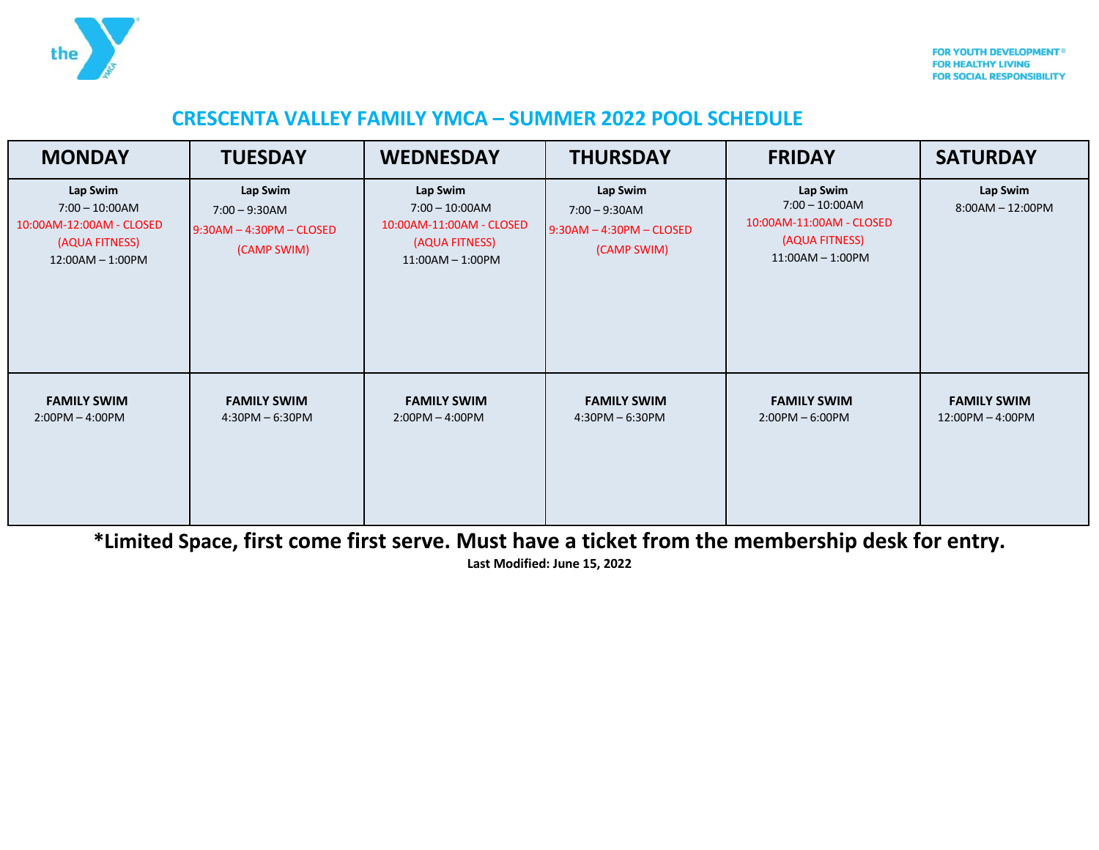

## **CRESCENTA VALLEY FAMILY YMCA – SUMMER 2022 POOL SCHEDULE**

| <b>MONDAY</b>                                                                                   | <b>TUESDAY</b>                                                            | <b>WEDNESDAY</b>                                                                                | <b>THURSDAY</b>                                                           | <b>FRIDAY</b>                                                                                    | <b>SATURDAY</b>                        |
|-------------------------------------------------------------------------------------------------|---------------------------------------------------------------------------|-------------------------------------------------------------------------------------------------|---------------------------------------------------------------------------|--------------------------------------------------------------------------------------------------|----------------------------------------|
| Lap Swim<br>$7:00 - 10:00$ AM<br>10:00AM-12:00AM - CLOSED<br>(AQUA FITNESS)<br>12:00AM - 1:00PM | Lap Swim<br>$7:00 - 9:30$ AM<br>$9:30AM - 4:30PM - CLOSED$<br>(CAMP SWIM) | Lap Swim<br>$7:00 - 10:00$ AM<br>10:00AM-11:00AM - CLOSED<br>(AQUA FITNESS)<br>11:00AM - 1:00PM | Lap Swim<br>$7:00 - 9:30$ AM<br>$9:30AM - 4:30PM - CLOSED$<br>(CAMP SWIM) | Lap Swim<br>$7:00 - 10:00AM$<br>10:00AM-11:00AM - CLOSED<br>(AQUA FITNESS)<br>$11:00AM - 1:00PM$ | Lap Swim<br>8:00AM - 12:00PM           |
| <b>FAMILY SWIM</b><br>$2:00PM - 4:00PM$                                                         | <b>FAMILY SWIM</b><br>$4:30PM - 6:30PM$                                   | <b>FAMILY SWIM</b><br>$2:00PM - 4:00PM$                                                         | <b>FAMILY SWIM</b><br>$4:30PM - 6:30PM$                                   | <b>FAMILY SWIM</b><br>$2:00PM - 6:00PM$                                                          | <b>FAMILY SWIM</b><br>12:00PM - 4:00PM |

**\*Limited Space, first come first serve. Must have a ticket from the membership desk for entry.** 

**Last Modified: June 15, 2022**